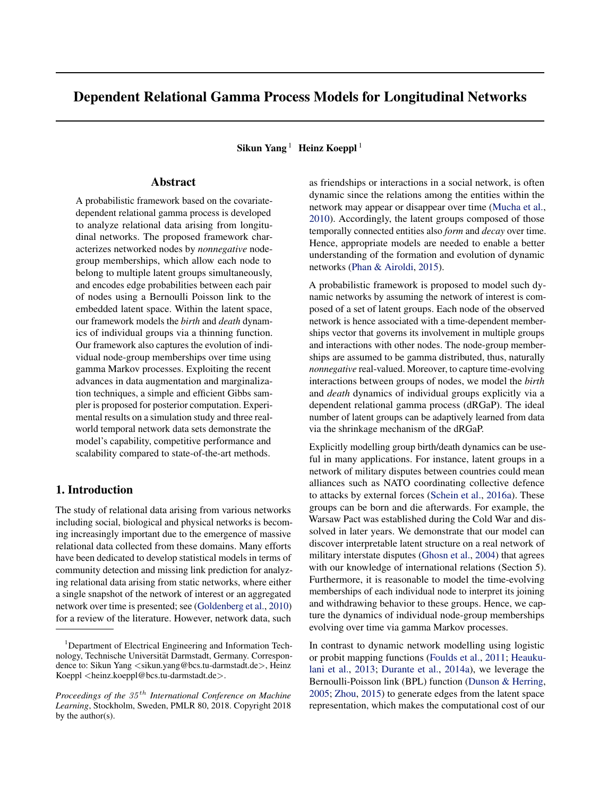# Dependent Relational Gamma Process Models for Longitudinal Networks

Sikun Yang<sup>1</sup> Heinz Koeppl<sup>1</sup>

# Abstract

A probabilistic framework based on the covariatedependent relational gamma process is developed to analyze relational data arising from longitudinal networks. The proposed framework characterizes networked nodes by *nonnegative* nodegroup memberships, which allow each node to belong to multiple latent groups simultaneously, and encodes edge probabilities between each pair of nodes using a Bernoulli Poisson link to the embedded latent space. Within the latent space, our framework models the *birth* and *death* dynamics of individual groups via a thinning function. Our framework also captures the evolution of individual node-group memberships over time using gamma Markov processes. Exploiting the recent advances in data augmentation and marginalization techniques, a simple and efficient Gibbs sampler is proposed for posterior computation. Experimental results on a simulation study and three realworld temporal network data sets demonstrate the model's capability, competitive performance and scalability compared to state-of-the-art methods.

## 1. Introduction

The study of relational data arising from various networks including social, biological and physical networks is becoming increasingly important due to the emergence of massive relational data collected from these domains. Many efforts have been dedicated to develop statistical models in terms of community detection and missing link prediction for analyzing relational data arising from static networks, where either a single snapshot of the network of interest or an aggregated network over time is presented; see [\(Goldenberg et al.,](#page-8-0) [2010\)](#page-8-0) for a review of the literature. However, network data, such

as friendships or interactions in a social network, is often dynamic since the relations among the entities within the network may appear or disappear over time [\(Mucha et al.,](#page-8-0) [2010\)](#page-8-0). Accordingly, the latent groups composed of those temporally connected entities also *form* and *decay* over time. Hence, appropriate models are needed to enable a better understanding of the formation and evolution of dynamic networks [\(Phan & Airoldi,](#page-9-0) [2015\)](#page-9-0).

A probabilistic framework is proposed to model such dynamic networks by assuming the network of interest is composed of a set of latent groups. Each node of the observed network is hence associated with a time-dependent memberships vector that governs its involvement in multiple groups and interactions with other nodes. The node-group memberships are assumed to be gamma distributed, thus, naturally *nonnegative* real-valued. Moreover, to capture time-evolving interactions between groups of nodes, we model the *birth* and *death* dynamics of individual groups explicitly via a dependent relational gamma process (dRGaP). The ideal number of latent groups can be adaptively learned from data via the shrinkage mechanism of the dRGaP.

Explicitly modelling group birth/death dynamics can be useful in many applications. For instance, latent groups in a network of military disputes between countries could mean alliances such as NATO coordinating collective defence to attacks by external forces [\(Schein et al.,](#page-9-0) [2016a\)](#page-9-0). These groups can be born and die afterwards. For example, the Warsaw Pact was established during the Cold War and dissolved in later years. We demonstrate that our model can discover interpretable latent structure on a real network of military interstate disputes [\(Ghosn et al.,](#page-8-0) [2004\)](#page-8-0) that agrees with our knowledge of international relations (Section 5). Furthermore, it is reasonable to model the time-evolving memberships of each individual node to interpret its joining and withdrawing behavior to these groups. Hence, we capture the dynamics of individual node-group memberships evolving over time via gamma Markov processes.

In contrast to dynamic network modelling using logistic or probit mapping functions [\(Foulds et al.,](#page-8-0) [2011;](#page-8-0) [Heauku](#page-8-0)[lani et al.,](#page-8-0) [2013;](#page-8-0) [Durante et al.,](#page-8-0) [2014a\)](#page-8-0), we leverage the Bernoulli-Poisson link (BPL) function [\(Dunson & Herring,](#page-8-0) [2005;](#page-8-0) [Zhou,](#page-9-0) [2015\)](#page-9-0) to generate edges from the latent space representation, which makes the computational cost of our

<sup>&</sup>lt;sup>1</sup>Department of Electrical Engineering and Information Technology, Technische Universitat Darmstadt, Germany. Correspon- ¨ dence to: Sikun Yang < sikun.yang@bcs.tu-darmstadt.de>, Heinz Koeppl <heinz.koeppl@bcs.tu-darmstadt.de>.

*Proceedings of the* 35 th *International Conference on Machine Learning*, Stockholm, Sweden, PMLR 80, 2018. Copyright 2018 by the author(s).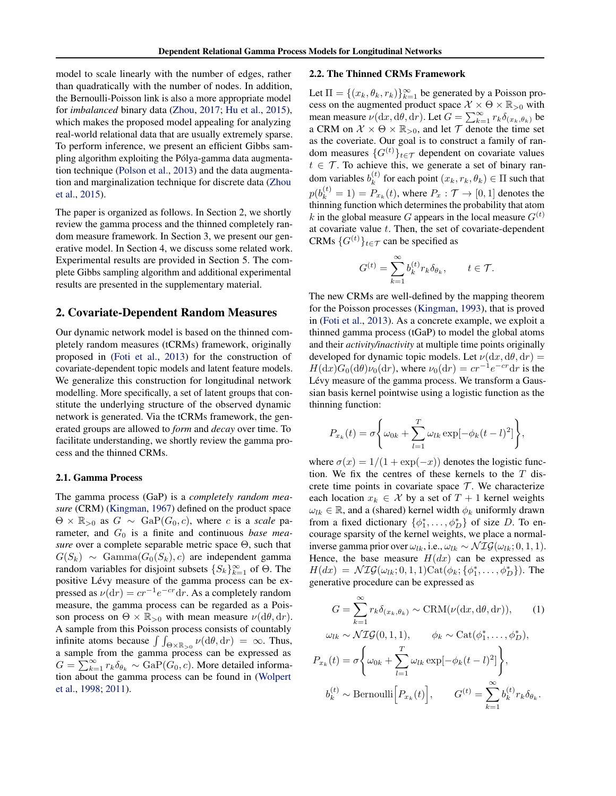model to scale linearly with the number of edges, rather than quadratically with the number of nodes. In addition, the Bernoulli-Poisson link is also a more appropriate model for *imbalanced* binary data [\(Zhou,](#page-9-0) [2017;](#page-9-0) [Hu et al.,](#page-8-0) [2015\)](#page-8-0), which makes the proposed model appealing for analyzing real-world relational data that are usually extremely sparse. To perform inference, we present an efficient Gibbs sampling algorithm exploiting the Pólya-gamma data augmentation technique [\(Polson et al.,](#page-9-0) [2013\)](#page-9-0) and the data augmentation and marginalization technique for discrete data [\(Zhou](#page-9-0) [et al.,](#page-9-0) [2015\)](#page-9-0).

The paper is organized as follows. In Section 2, we shortly review the gamma process and the thinned completely random measure framework. In Section 3, we present our generative model. In Section 4, we discuss some related work. Experimental results are provided in Section 5. The complete Gibbs sampling algorithm and additional experimental results are presented in the supplementary material.

#### 2. Covariate-Dependent Random Measures

Our dynamic network model is based on the thinned completely random measures (tCRMs) framework, originally proposed in [\(Foti et al.,](#page-8-0) [2013\)](#page-8-0) for the construction of covariate-dependent topic models and latent feature models. We generalize this construction for longitudinal network modelling. More specifically, a set of latent groups that constitute the underlying structure of the observed dynamic network is generated. Via the tCRMs framework, the generated groups are allowed to *form* and *decay* over time. To facilitate understanding, we shortly review the gamma process and the thinned CRMs.

#### 2.1. Gamma Process

The gamma process (GaP) is a *completely random measure* (CRM) [\(Kingman,](#page-8-0) [1967\)](#page-8-0) defined on the product space  $\Theta \times \mathbb{R}_{>0}$  as  $G \sim \text{GaP}(G_0, c)$ , where c is a *scale* parameter, and  $G_0$  is a finite and continuous *base measure* over a complete separable metric space Θ, such that  $G(S_k) \sim \text{Gamma}(G_0(S_k), c)$  are independent gamma random variables for disjoint subsets  ${S_k}_{k=1}^{\infty}$  of  $\Theta$ . The positive Lévy measure of the gamma process can be expressed as  $\nu(\mathrm{d}r) = cr^{-1}e^{-cr}\mathrm{d}r$ . As a completely random measure, the gamma process can be regarded as a Poisson process on  $\Theta \times \mathbb{R}_{>0}$  with mean measure  $\nu(\mathrm{d}\theta, \mathrm{d}r)$ . A sample from this Poisson process consists of countably infinite atoms because  $\int \int_{\Theta \times \mathbb{R}_{>0}} \nu(\mathrm{d}\theta, \mathrm{d}r) = \infty$ . Thus, a sample from the gamma process can be expressed as  $G = \sum_{k=1}^{\infty} r_k \delta_{\theta_k} \sim \text{GaP}(G_0, c)$ . More detailed information about the gamma process can be found in [\(Wolpert](#page-9-0) [et al.,](#page-9-0) [1998;](#page-9-0) [2011\)](#page-9-0).

#### 2.2. The Thinned CRMs Framework

Let  $\Pi = \{(x_k, \theta_k, r_k)\}_{k=1}^{\infty}$  be generated by a Poisson process on the augmented product space  $\mathcal{X} \times \Theta \times \mathbb{R}_{>0}$  with mean measure  $\nu(\mathrm{d}x, \mathrm{d}\theta, \mathrm{d}r)$ . Let  $G = \sum_{k=1}^{\infty} r_k \delta_{(x_k, \theta_k)}$  be a CRM on  $X \times \Theta \times \mathbb{R}_{>0}$ , and let  $\mathcal T$  denote the time set as the coveriate. Our goal is to construct a family of random measures  $\{G^{(t)}\}_t \in \mathcal{T}$  dependent on covariate values  $t \in \mathcal{T}$ . To achieve this, we generate a set of binary random variables  $b_k^{(t)}$  $\binom{k}{k}$  for each point  $(x_k, r_k, \theta_k) \in \Pi$  such that  $p(b_k^{(t)} = 1) = P_{x_k}(t)$ , where  $P_x: \mathcal{T} \rightarrow [0, 1]$  denotes the thinning function which determines the probability that atom k in the global measure G appears in the local measure  $G^{(t)}$ at covariate value t. Then, the set of covariate-dependent CRMs  $\{G^{(t)}\}_t \in \tau$  can be specified as

$$
G^{(t)} = \sum_{k=1}^{\infty} b_k^{(t)} r_k \delta_{\theta_k}, \qquad t \in \mathcal{T}.
$$

The new CRMs are well-defined by the mapping theorem for the Poisson processes [\(Kingman,](#page-8-0) [1993\)](#page-8-0), that is proved in [\(Foti et al.,](#page-8-0) [2013\)](#page-8-0). As a concrete example, we exploit a thinned gamma process (tGaP) to model the global atoms and their *activity/inactivity* at multiple time points originally developed for dynamic topic models. Let  $\nu(dx, d\theta, dr) =$  $H(\mathrm{d}x)G_0(\mathrm{d}\theta)\nu_0(\mathrm{d}r)$ , where  $\nu_0(\mathrm{d}r) = cr^{-1}e^{-cr}\mathrm{d}r$  is the Lévy measure of the gamma process. We transform a Gaussian basis kernel pointwise using a logistic function as the thinning function:

$$
P_{x_k}(t) = \sigma \Bigg\{ \omega_{0k} + \sum_{l=1}^T \omega_{lk} \exp[-\phi_k(t-l)^2] \Bigg\},\,
$$

where  $\sigma(x) = 1/(1 + \exp(-x))$  denotes the logistic function. We fix the centres of these kernels to the  $T$  discrete time points in covariate space  $\mathcal T$ . We characterize each location  $x_k \in \mathcal{X}$  by a set of  $T + 1$  kernel weights  $\omega_{lk} \in \mathbb{R}$ , and a (shared) kernel width  $\phi_k$  uniformly drawn from a fixed dictionary  $\{\phi_1^*, \dots, \phi_D^*\}$  of size D. To encourage sparsity of the kernel weights, we place a normalinverse gamma prior over  $\omega_{lk}$ , i.e.,  $\omega_{lk} \sim \mathcal{NIG}(\omega_{lk}; 0, 1, 1)$ . Hence, the base measure  $H(dx)$  can be expressed as  $H(dx) = \mathcal{NIG}(\omega_{lk}; 0, 1, 1) \text{Cat}(\phi_k; {\phi_1^*, \ldots, \phi_D^*}).$  The generative procedure can be expressed as

$$
G = \sum_{k=1}^{\infty} r_k \delta_{(x_k, \theta_k)} \sim \text{CRM}(\nu(\mathrm{d}x, \mathrm{d}\theta, \mathrm{d}r)), \qquad (1)
$$

$$
\omega_{lk} \sim \mathcal{NIG}(0, 1, 1), \qquad \phi_k \sim \text{Cat}(\phi_1^*, \dots, \phi_D^*),
$$

$$
P_{x_k}(t) = \sigma \left\{ \omega_{0k} + \sum_{l=1}^T \omega_{lk} \exp[-\phi_k(t-l)^2] \right\},
$$

$$
b_k^{(t)} \sim \text{Bernoulli}\Big[P_{x_k}(t)\Big], \qquad G^{(t)} = \sum_{k=1}^{\infty} b_k^{(t)} r_k \delta_{\theta_k}.
$$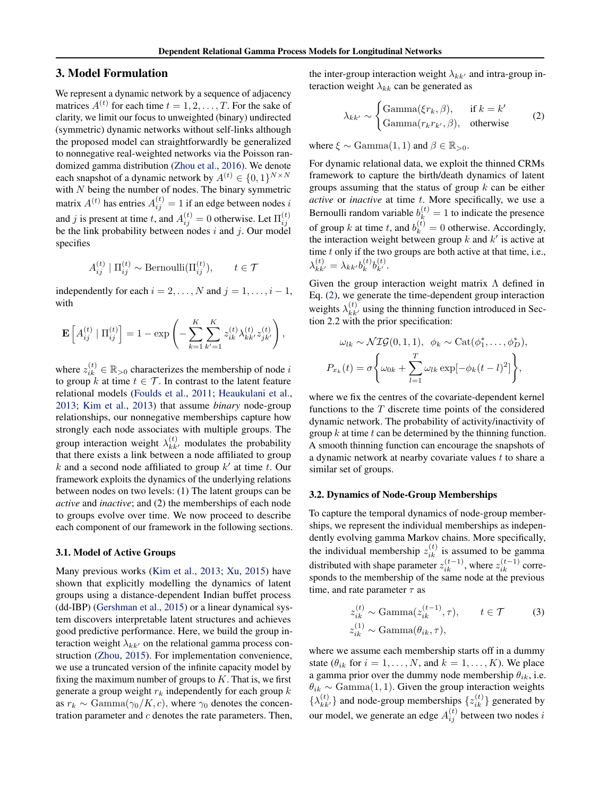## 3. Model Formulation

We represent a dynamic network by a sequence of adjacency matrices  $A^{(t)}$  for each time  $t = 1, 2, \dots, T$ . For the sake of clarity, we limit our focus to unweighted (binary) undirected (symmetric) dynamic networks without self-links although the proposed model can straightforwardly be generalized to nonnegative real-weighted networks via the Poisson randomized gamma distribution [\(Zhou et al.,](#page-9-0) [2016\)](#page-9-0). We denote each snapshot of a dynamic network by  $A^{(t)} \in \{0, 1\}^{N \times N}$ with  $N$  being the number of nodes. The binary symmetric matrix  $A^{(t)}$  has entries  $A_{ij}^{(t)} = 1$  if an edge between nodes i and j is present at time t, and  $A_{ij}^{(t)} = 0$  otherwise. Let  $\Pi_{ij}^{(t)}$  be the link probability between nodes i and j. Our model specifies

$$
A_{ij}^{(t)} | \Pi_{ij}^{(t)} \sim \text{Bernoulli}(\Pi_{ij}^{(t)}), \qquad t \in \mathcal{T}
$$

independently for each  $i = 2, \ldots, N$  and  $j = 1, \ldots, i - 1$ , with

$$
\mathbf{E}\left[A_{ij}^{(t)} | \Pi_{ij}^{(t)}\right] = 1 - \exp\left(-\sum_{k=1}^{K} \sum_{k'=1}^{K} z_{ik}^{(t)} \lambda_{kk'}^{(t)} z_{jk'}^{(t)}\right),\,
$$

where  $z_{ik}^{(t)} \in \mathbb{R}_{>0}$  characterizes the membership of node i to group k at time  $t \in \mathcal{T}$ . In contrast to the latent feature relational models [\(Foulds et al.,](#page-8-0) [2011;](#page-8-0) [Heaukulani et al.,](#page-8-0) [2013;](#page-8-0) [Kim et al.,](#page-8-0) [2013\)](#page-8-0) that assume *binary* node-group relationships, our nonnegative memberships capture how strongly each node associates with multiple groups. The group interaction weight  $\lambda_{kk'}^{(t)}$  modulates the probability that there exists a link between a node affiliated to group  $k$  and a second node affiliated to group  $k'$  at time  $t$ . Our framework exploits the dynamics of the underlying relations between nodes on two levels: (1) The latent groups can be *active* and *inactive*; and (2) the memberships of each node to groups evolve over time. We now proceed to describe each component of our framework in the following sections.

#### 3.1. Model of Active Groups

Many previous works [\(Kim et al.,](#page-8-0) [2013;](#page-8-0) [Xu,](#page-9-0) [2015\)](#page-9-0) have shown that explicitly modelling the dynamics of latent groups using a distance-dependent Indian buffet process (dd-IBP) [\(Gershman et al.,](#page-8-0) [2015\)](#page-8-0) or a linear dynamical system discovers interpretable latent structures and achieves good predictive performance. Here, we build the group interaction weight  $\lambda_{kk'}$  on the relational gamma process construction [\(Zhou,](#page-9-0) [2015\)](#page-9-0). For implementation convenience, we use a truncated version of the infinite capacity model by fixing the maximum number of groups to  $K$ . That is, we first generate a group weight  $r_k$  independently for each group  $k$ as  $r_k \sim \text{Gamma}(\gamma_0/K, c)$ , where  $\gamma_0$  denotes the concentration parameter and  $c$  denotes the rate parameters. Then, the inter-group interaction weight  $\lambda_{kk'}$  and intra-group interaction weight  $\lambda_{kk}$  can be generated as

$$
\lambda_{kk'} \sim \begin{cases} \text{Gamma}(\xi r_k, \beta), & \text{if } k = k'\\ \text{Gamma}(r_k r_{k'}, \beta), & \text{otherwise} \end{cases} \tag{2}
$$

where  $\xi \sim \text{Gamma}(1, 1)$  and  $\beta \in \mathbb{R}_{>0}$ .

For dynamic relational data, we exploit the thinned CRMs framework to capture the birth/death dynamics of latent groups assuming that the status of group  $k$  can be either *active* or *inactive* at time t. More specifically, we use a Bernoulli random variable  $b_k^{(t)} = 1$  to indicate the presence of group k at time t, and  $b_k^{(t)} = 0$  otherwise. Accordingly, the interaction weight between group  $k$  and  $k'$  is active at time  $t$  only if the two groups are both active at that time, i.e.,  $\lambda_{kk'}^{(t)} = \lambda_{kk'}b_k^{(t)}$  $_{k}^{(t)}b_{k^{\prime }}^{(t)}$ .

Given the group interaction weight matrix  $\Lambda$  defined in Eq. (2), we generate the time-dependent group interaction weights  $\lambda_{kk'}^{(t)}$  using the thinning function introduced in Section 2.2 with the prior specification:

$$
\omega_{lk} \sim \mathcal{NIG}(0, 1, 1), \quad \phi_k \sim \text{Cat}(\phi_1^*, \dots, \phi_D^*),
$$
  

$$
P_{x_k}(t) = \sigma \left\{ \omega_{0k} + \sum_{l=1}^T \omega_{lk} \exp[-\phi_k(t-l)^2] \right\},
$$

where we fix the centres of the covariate-dependent kernel functions to the  $T$  discrete time points of the considered dynamic network. The probability of activity/inactivity of group  $k$  at time  $t$  can be determined by the thinning function. A smooth thinning function can encourage the snapshots of a dynamic network at nearby covariate values  $t$  to share a similar set of groups.

#### 3.2. Dynamics of Node-Group Memberships

To capture the temporal dynamics of node-group memberships, we represent the individual memberships as independently evolving gamma Markov chains. More specifically, the individual membership  $z_{ik}^{(t)}$  is assumed to be gamma distributed with shape parameter  $z_{ik}^{(t-1)}$ , where  $z_{ik}^{(t-1)}$  corresponds to the membership of the same node at the previous time, and rate parameter  $\tau$  as

$$
z_{ik}^{(t)} \sim \text{Gamma}(z_{ik}^{(t-1)}, \tau), \qquad t \in \mathcal{T} \tag{3}
$$
  

$$
z_{ik}^{(1)} \sim \text{Gamma}(\theta_{ik}, \tau),
$$

where we assume each membership starts off in a dummy state ( $\theta_{ik}$  for  $i = 1, ..., N$ , and  $k = 1, ..., K$ ). We place a gamma prior over the dummy node membership  $\theta_{ik}$ , i.e.  $\theta_{ik} \sim \text{Gamma}(1, 1)$ . Given the group interaction weights  $\{\lambda_{kk'}^{(t)}\}$  and node-group memberships  $\{z_{ik}^{(t)}\}$  generated by our model, we generate an edge  $A_{ij}^{(t)}$  between two nodes  $i$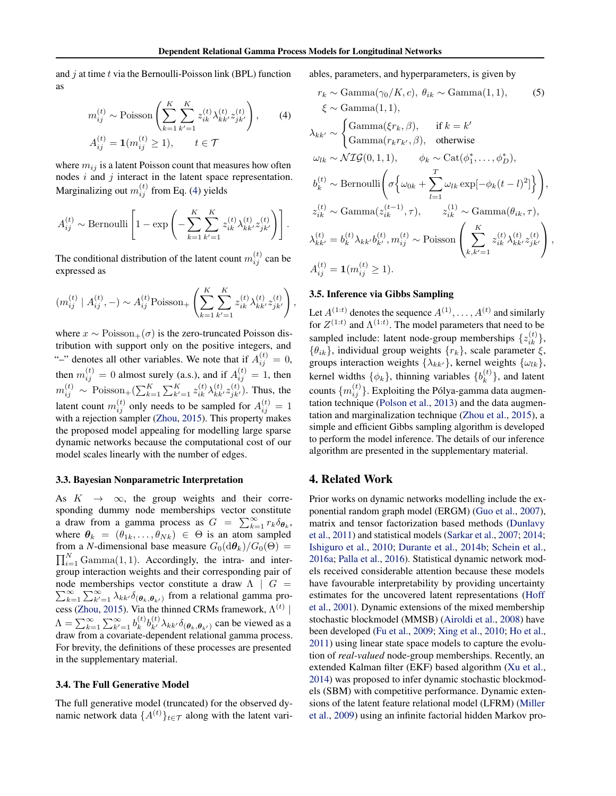and  $j$  at time  $t$  via the Bernoulli-Poisson link (BPL) function as

$$
m_{ij}^{(t)} \sim \text{Poisson}\left(\sum_{k=1}^{K} \sum_{k'=1}^{K} z_{ik}^{(t)} \lambda_{kk'}^{(t)} z_{jk'}^{(t)}\right), \qquad (4)
$$

$$
A_{ij}^{(t)} = \mathbf{1}(m_{ij}^{(t)} \ge 1), \qquad t \in \mathcal{T}
$$

where  $m_{ij}$  is a latent Poisson count that measures how often nodes  $i$  and  $j$  interact in the latent space representation. Marginalizing out  $m_{ij}^{(t)}$  from Eq. (4) yields

$$
A_{ij}^{(t)} \sim \text{Bernoulli}\left[1 - \exp\left(-\sum_{k=1}^K \sum_{k'=1}^K z_{ik}^{(t)} \lambda_{kk'}^{(t)} z_{jk'}^{(t)}\right)\right].
$$

The conditional distribution of the latent count  $m_{ij}^{(t)}$  can be expressed as

$$
(m_{ij}^{(t)} | A_{ij}^{(t)}, -) \sim A_{ij}^{(t)} \text{Poisson}_{+} \left( \sum_{k=1}^{K} \sum_{k'=1}^{K} z_{ik}^{(t)} \lambda_{kk'}^{(t)} z_{jk'}^{(t)} \right),
$$

where  $x \sim \text{Poisson}_{+}(\sigma)$  is the zero-truncated Poisson distribution with support only on the positive integers, and "-" denotes all other variables. We note that if  $A_{ij}^{(t)} = 0$ , then  $m_{ij}^{(t)} = 0$  almost surely (a.s.), and if  $A_{ij}^{(t)} = 1$ , then  $m_{ij}^{(t)} \sim \text{Poisson}_{+}(\sum_{k=1}^{K} \sum_{k'=1}^{K} z_{ik}^{(t)} \lambda_{kk'}^{(t)} z_{jk'}^{(t)}).$  Thus, the latent count  $m_{ij}^{(t)}$  only needs to be sampled for  $A_{ij}^{(t)} = 1$ with a rejection sampler [\(Zhou,](#page-9-0) [2015\)](#page-9-0). This property makes the proposed model appealing for modelling large sparse dynamic networks because the computational cost of our model scales linearly with the number of edges.

#### 3.3. Bayesian Nonparametric Interpretation

As  $K \rightarrow \infty$ , the group weights and their corresponding dummy node memberships vector constitute a draw from a gamma process as  $G = \sum_{k=1}^{\infty} r_k \delta_{\theta_k}$ , where  $\theta_k = (\theta_{1k}, \dots, \theta_{Nk}) \in \Theta$  is an atom sampled from a *N*-dimensional base measure  $G_0(\text{d}\theta_k)/G_0(\Theta)$  =  $\prod_{i=1}^{N}$  Gamma $(1, 1)$ . Accordingly, the intra- and intergroup interaction weights and their corresponding pair of  $\sum_{k=1}^{\infty}$ node memberships vector constitute a draw  $\Lambda \parallel G =$  $\sum_{k=1}^{\infty} \sum_{k'=1}^{\infty} \lambda_{kk'} \delta(\theta_k, \theta_{k'})$  from a relational gamma pro-cess [\(Zhou,](#page-9-0) [2015\)](#page-9-0). Via the thinned CRMs framework,  $\Lambda^{(t)}$  |  $\Lambda = \sum_{k=1}^{\infty} \sum_{k'=1}^{\infty} b_k^{(t)}$  ${}^{(t)}_{k}b^{(t)}_{k'}\lambda_{kk'}\delta_{(\theta_k,\theta_{k'})}$  can be viewed as a draw from a covariate-dependent relational gamma process. For brevity, the definitions of these processes are presented in the supplementary material.

#### 3.4. The Full Generative Model

The full generative model (truncated) for the observed dynamic network data  $\{A^{(t)}\}_{{t\in\mathcal{T}}}$  along with the latent variables, parameters, and hyperparameters, is given by

$$
r_k \sim \text{Gamma}(\gamma_0/K, c), \theta_{ik} \sim \text{Gamma}(1, 1),
$$
\n
$$
\xi \sim \text{Gamma}(1, 1),
$$
\n
$$
\lambda_{kk'} \sim \begin{cases} \text{Gamma}(\xi r_k, \beta), & \text{if } k = k' \\ \text{Gamma}(r_{k}r_{k'}, \beta), & \text{otherwise} \end{cases}
$$
\n
$$
\omega_{lk} \sim \mathcal{NIG}(0, 1, 1), \quad \phi_k \sim \text{Cat}(\phi_1^*, \dots, \phi_D^*),
$$
\n
$$
b_k^{(t)} \sim \text{Bernoulli}\left(\sigma\left\{\omega_{0k} + \sum_{l=1}^T \omega_{lk} \exp[-\phi_k(t-l)^2]\right\}\right),
$$
\n
$$
z_{ik}^{(t)} \sim \text{Gamma}(z_{ik}^{(t-1)}, \tau), \quad z_{ik}^{(1)} \sim \text{Gamma}(\theta_{ik}, \tau),
$$
\n
$$
\lambda_{kk'}^{(t)} = b_k^{(t)} \lambda_{kk'} b_{k'}^{(t)}, m_{ij}^{(t)} \sim \text{Poisson}\left(\sum_{k,k'=1}^K z_{ik}^{(t)} \lambda_{kk'}^{(t)} z_{jk'}^{(t)}\right),
$$
\n
$$
A_{ij}^{(t)} = \mathbf{1}(m_{ij}^{(t)} \ge 1).
$$
\n(1)

#### 3.5. Inference via Gibbs Sampling

Let  $A^{(1:t)}$  denotes the sequence  $A^{(1)}, \ldots, A^{(t)}$  and similarly for  $Z^{(1:t)}$  and  $\Lambda^{(1:t)}$ . The model parameters that need to be sampled include: latent node-group memberships  $\{z_{ik}^{(t)}\},$  ${\lbrace \theta_{ik} \rbrace}$ , individual group weights  ${\lbrace r_k \rbrace}$ , scale parameter  $\xi$ , groups interaction weights  $\{\lambda_{kk'}\}$ , kernel weights  $\{\omega_{lk}\},$ kernel widths  $\{\phi_k\}$ , thinning variables  $\{b_k^{(t)}\}$  $\binom{t}{k}$ , and latent counts  $\{m_{ij}^{(t)}\}$ . Exploiting the Pólya-gamma data augmentation technique [\(Polson et al.,](#page-9-0) [2013\)](#page-9-0) and the data augmentation and marginalization technique [\(Zhou et al.,](#page-9-0) [2015\)](#page-9-0), a simple and efficient Gibbs sampling algorithm is developed to perform the model inference. The details of our inference algorithm are presented in the supplementary material.

### 4. Related Work

Prior works on dynamic networks modelling include the exponential random graph model (ERGM) [\(Guo et al.,](#page-8-0) [2007\)](#page-8-0), matrix and tensor factorization based methods [\(Dunlavy](#page-8-0) [et al.,](#page-8-0) [2011\)](#page-8-0) and statistical models [\(Sarkar et al.,](#page-9-0) [2007;](#page-9-0) [2014;](#page-9-0) [Ishiguro et al.,](#page-8-0) [2010;](#page-8-0) [Durante et al.,](#page-8-0) [2014b;](#page-8-0) [Schein et al.,](#page-9-0) [2016a;](#page-9-0) [Palla et al.,](#page-9-0) [2016\)](#page-9-0). Statistical dynamic network models received considerable attention because these models have favourable interpretability by providing uncertainty estimates for the uncovered latent representations [\(Hoff](#page-8-0) [et al.,](#page-8-0) [2001\)](#page-8-0). Dynamic extensions of the mixed membership stochastic blockmodel (MMSB) [\(Airoldi et al.,](#page-8-0) [2008\)](#page-8-0) have been developed [\(Fu et al.,](#page-8-0) [2009;](#page-8-0) [Xing et al.,](#page-9-0) [2010;](#page-9-0) [Ho et al.,](#page-8-0) [2011\)](#page-8-0) using linear state space models to capture the evolution of *real-valued* node-group memberships. Recently, an extended Kalman filter (EKF) based algorithm [\(Xu et al.,](#page-9-0) [2014\)](#page-9-0) was proposed to infer dynamic stochastic blockmodels (SBM) with competitive performance. Dynamic extensions of the latent feature relational model (LFRM) [\(Miller](#page-8-0) [et al.,](#page-8-0) [2009\)](#page-8-0) using an infinite factorial hidden Markov pro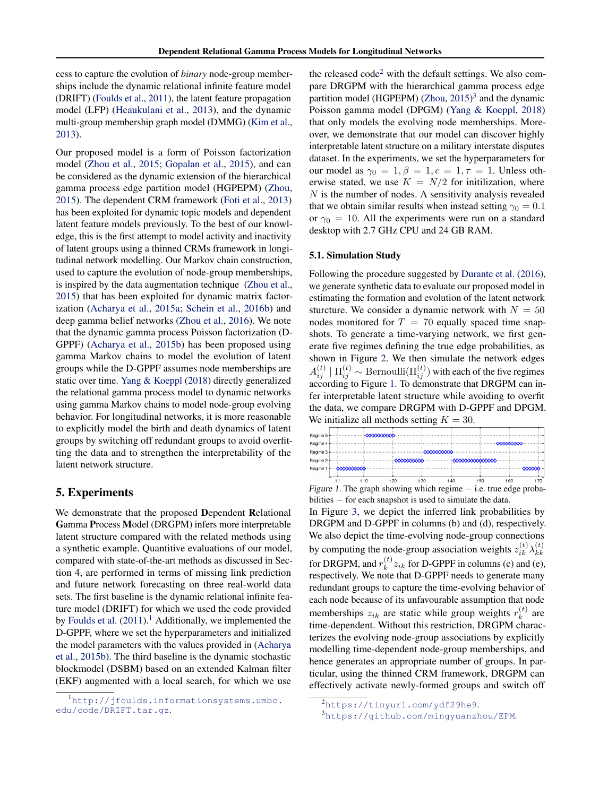cess to capture the evolution of *binary* node-group memberships include the dynamic relational infinite feature model (DRIFT) [\(Foulds et al.,](#page-8-0) [2011\)](#page-8-0), the latent feature propagation model (LFP) [\(Heaukulani et al.,](#page-8-0) [2013\)](#page-8-0), and the dynamic multi-group membership graph model (DMMG) [\(Kim et al.,](#page-8-0) [2013\)](#page-8-0).

Our proposed model is a form of Poisson factorization model [\(Zhou et al.,](#page-9-0) [2015;](#page-9-0) [Gopalan et al.,](#page-8-0) [2015\)](#page-8-0), and can be considered as the dynamic extension of the hierarchical gamma process edge partition model (HGPEPM) [\(Zhou,](#page-9-0) [2015\)](#page-9-0). The dependent CRM framework [\(Foti et al.,](#page-8-0) [2013\)](#page-8-0) has been exploited for dynamic topic models and dependent latent feature models previously. To the best of our knowledge, this is the first attempt to model activity and inactivity of latent groups using a thinned CRMs framework in longitudinal network modelling. Our Markov chain construction, used to capture the evolution of node-group memberships, is inspired by the data augmentation technique [\(Zhou et al.,](#page-9-0) [2015\)](#page-9-0) that has been exploited for dynamic matrix factorization [\(Acharya et al.,](#page-8-0) [2015a;](#page-8-0) [Schein et al.,](#page-9-0) [2016b\)](#page-9-0) and deep gamma belief networks [\(Zhou et al.,](#page-9-0) [2016\)](#page-9-0). We note that the dynamic gamma process Poisson factorization (D-GPPF) [\(Acharya et al.,](#page-8-0) [2015b\)](#page-8-0) has been proposed using gamma Markov chains to model the evolution of latent groups while the D-GPPF assumes node memberships are static over time. [Yang & Koeppl](#page-9-0) [\(2018\)](#page-9-0) directly generalized the relational gamma process model to dynamic networks using gamma Markov chains to model node-group evolving behavior. For longitudinal networks, it is more reasonable to explicitly model the birth and death dynamics of latent groups by switching off redundant groups to avoid overfitting the data and to strengthen the interpretability of the latent network structure.

## 5. Experiments

We demonstrate that the proposed Dependent Relational Gamma Process Model (DRGPM) infers more interpretable latent structure compared with the related methods using a synthetic example. Quantitive evaluations of our model, compared with state-of-the-art methods as discussed in Section 4, are performed in terms of missing link prediction and future network forecasting on three real-world data sets. The first baseline is the dynamic relational infinite feature model (DRIFT) for which we used the code provided by [Foulds et al.](#page-8-0)  $(2011)$ .<sup>1</sup> Additionally, we implemented the D-GPPF, where we set the hyperparameters and initialized the model parameters with the values provided in [\(Acharya](#page-8-0) [et al.,](#page-8-0) [2015b\)](#page-8-0). The third baseline is the dynamic stochastic blockmodel (DSBM) based on an extended Kalman filter (EKF) augmented with a local search, for which we use

the released  $\text{code}^2$  with the default settings. We also compare DRGPM with the hierarchical gamma process edge partition model (HGPEPM) [\(Zhou,](#page-9-0) [2015\)](#page-9-0)<sup>3</sup> and the dynamic Poisson gamma model (DPGM) [\(Yang & Koeppl,](#page-9-0) [2018\)](#page-9-0) that only models the evolving node memberships. Moreover, we demonstrate that our model can discover highly interpretable latent structure on a military interstate disputes dataset. In the experiments, we set the hyperparameters for our model as  $\gamma_0 = 1, \beta = 1, c = 1, \tau = 1$ . Unless otherwise stated, we use  $K = N/2$  for initilization, where  $N$  is the number of nodes. A sensitivity analysis revealed that we obtain similar results when instead setting  $\gamma_0 = 0.1$ or  $\gamma_0 = 10$ . All the experiments were run on a standard desktop with 2.7 GHz CPU and 24 GB RAM.

#### 5.1. Simulation Study

Following the procedure suggested by [Durante et al.](#page-8-0) [\(2016\)](#page-8-0), we generate synthetic data to evaluate our proposed model in estimating the formation and evolution of the latent network sturcture. We consider a dynamic network with  $N = 50$ nodes monitored for  $T = 70$  equally spaced time snapshots. To generate a time-varying network, we first generate five regimes defining the true edge probabilities, as shown in Figure [2.](#page-5-0) We then simulate the network edges  $A_{ij}^{(t)} \mid \Pi_{ij}^{(t)} \sim \text{Bernoulli}(\Pi_{ij}^{(t)})$  with each of the five regimes according to Figure 1. To demonstrate that DRGPM can infer interpretable latent structure while avoiding to overfit the data, we compare DRGPM with D-GPPF and DPGM. We initialize all methods setting  $K = 30$ .



Figure 1. The graph showing which regime − i.e. true edge probabilities − for each snapshot is used to simulate the data.

In Figure [3,](#page-5-0) we depict the inferred link probabilities by DRGPM and D-GPPF in columns (b) and (d), respectively. We also depict the time-evolving node-group connections by computing the node-group association weights  $z_{ik}^{(t)} \lambda_{kk}^{(t)}$ kk for DRGPM, and  $r_k^{(t)}$  $k^{(t)}z_{ik}$  for D-GPPF in columns (c) and (e), respectively. We note that D-GPPF needs to generate many redundant groups to capture the time-evolving behavior of each node because of its unfavourable assumption that node memberships  $z_{ik}$  are static while group weights  $r_k^{(t)}$  $k^{(l)}$  are time-dependent. Without this restriction, DRGPM characterizes the evolving node-group associations by explicitly modelling time-dependent node-group memberships, and hence generates an appropriate number of groups. In particular, using the thinned CRM framework, DRGPM can effectively activate newly-formed groups and switch off

<sup>1</sup>[http://jfoulds.informationsystems.umbc.](http://jfoulds.informationsystems.umbc.edu/code/DRIFT.tar.gz) [edu/code/DRIFT.tar.gz](http://jfoulds.informationsystems.umbc.edu/code/DRIFT.tar.gz).

<sup>2</sup><https://tinyurl.com/ydf29he9>.

<sup>3</sup><https://github.com/mingyuanzhou/EPM>.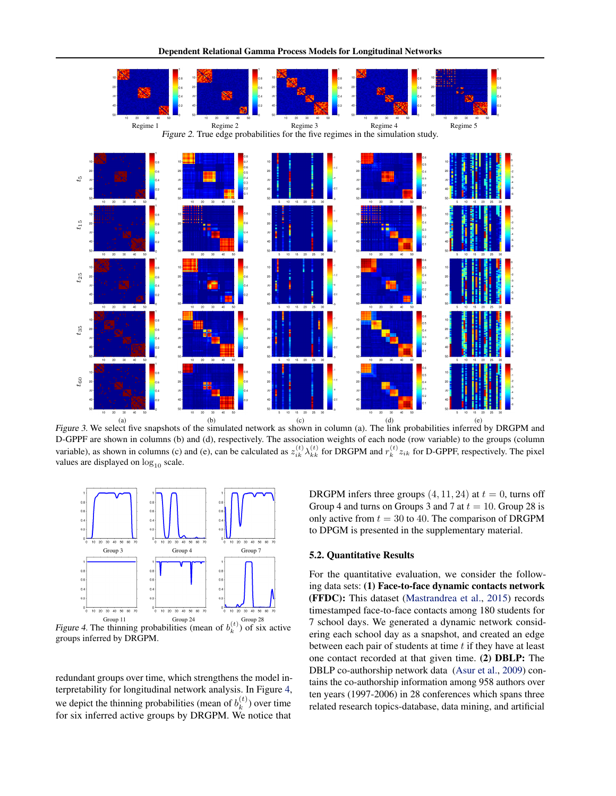<span id="page-5-0"></span>

(a) (b) (c) (c) (d) (d) (e)<br>Figure 3. We select five snapshots of the simulated network as shown in column (a). The link probabilities inferred by DRGPM and D-GPPF are shown in columns (b) and (d), respectively. The association weights of each node (row variable) to the groups (column variable), as shown in columns (c) and (e), can be calculated as  $z_{ik}^{(t)} \lambda_{kk}^{(t)}$  for DRGPM and  $r_k^{(t)} z_{ik}$  for D-GPPF, respectively. The pixel values are displayed on  $log_{10}$  scale.



Figure 4. The thinning probabilities (mean of  $b_k^{(t)}$ ) of six active groups inferred by DRGPM.

redundant groups over time, which strengthens the model interpretability for longitudinal network analysis. In Figure 4, we depict the thinning probabilities (mean of  $b_k^{(t)}$ )  $\binom{u}{k}$  over time for six inferred active groups by DRGPM. We notice that

DRGPM infers three groups  $(4, 11, 24)$  at  $t = 0$ , turns off Group 4 and turns on Groups 3 and 7 at  $t = 10$ . Group 28 is only active from  $t = 30$  to 40. The comparison of DRGPM to DPGM is presented in the supplementary material.

#### 5.2. Quantitative Results

For the quantitative evaluation, we consider the following data sets: (1) Face-to-face dynamic contacts network (FFDC): This dataset [\(Mastrandrea et al.,](#page-8-0) [2015\)](#page-8-0) records timestamped face-to-face contacts among 180 students for 7 school days. We generated a dynamic network considering each school day as a snapshot, and created an edge between each pair of students at time  $t$  if they have at least one contact recorded at that given time. (2) DBLP: The DBLP co-authorship network data [\(Asur et al.,](#page-8-0) [2009\)](#page-8-0) contains the co-authorship information among 958 authors over ten years (1997-2006) in 28 conferences which spans three related research topics-database, data mining, and artificial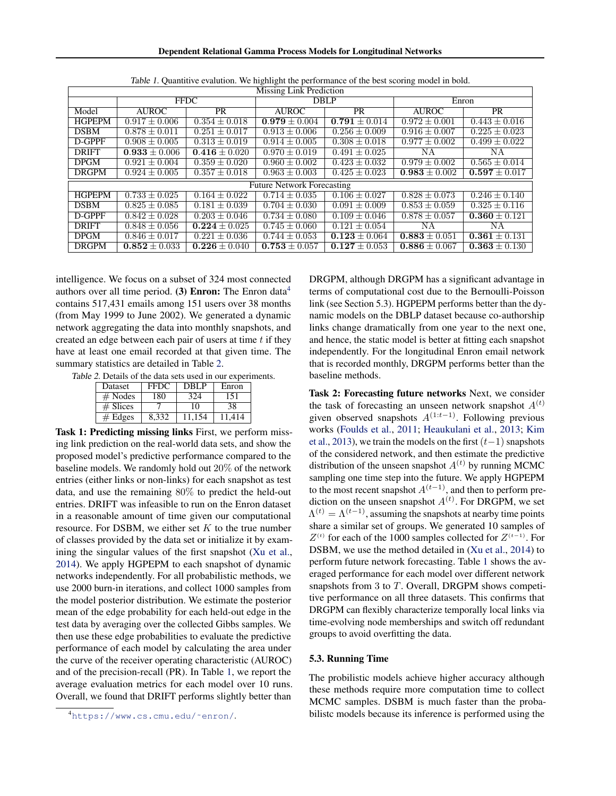| Missing Link Prediction           |                   |                   |                   |                          |                   |                   |  |
|-----------------------------------|-------------------|-------------------|-------------------|--------------------------|-------------------|-------------------|--|
|                                   | <b>FFDC</b>       |                   | <b>DBLP</b>       |                          | Enron             |                   |  |
| Model                             | <b>AUROC</b>      | <b>PR</b>         | <b>AUROC</b>      | <b>PR</b>                | <b>AUROC</b>      | <b>PR</b>         |  |
| <b>HGPEPM</b>                     | $0.917 + 0.006$   | $0.354 \pm 0.018$ | $0.979 + 0.004$   | $0.791 + 0.014$          | $0.972 \pm 0.001$ | $0.443 + 0.016$   |  |
| <b>DSBM</b>                       | $0.878 \pm 0.011$ | $0.251 \pm 0.017$ | $0.913 \pm 0.006$ | $\sqrt{0.256} \pm 0.009$ | $0.916 \pm 0.007$ | $0.225 + 0.023$   |  |
| D-GPPF                            | $0.908 \pm 0.005$ | $0.313 \pm 0.019$ | $0.914 \pm 0.005$ | $0.308 \pm 0.018$        | $0.977 \pm 0.002$ | $0.499 \pm 0.022$ |  |
| <b>DRIFT</b>                      | $0.933 \pm 0.006$ | $0.416 \pm 0.020$ | $0.970 \pm 0.019$ | $0.491 \pm 0.025$        | NΑ                | ΝA                |  |
| <b>DPGM</b>                       | $0.921 \pm 0.004$ | $0.359 \pm 0.020$ | $0.960 + 0.002$   | $0.423 \pm 0.032$        | $0.979 \pm 0.002$ | $0.565 \pm 0.014$ |  |
| <b>DRGPM</b>                      | $0.924 \pm 0.005$ | $0.357 \pm 0.018$ | $0.963 \pm 0.003$ | $0.425 \pm 0.023$        | $0.983 \pm 0.002$ | $0.597 \pm 0.017$ |  |
| <b>Future Network Forecasting</b> |                   |                   |                   |                          |                   |                   |  |
| <b>HGPEPM</b>                     | $0.733 \pm 0.025$ | $0.164 \pm 0.022$ | $0.714 + 0.035$   | $0.106 + 0.027$          | $0.828 \pm 0.073$ | $0.246 + 0.140$   |  |
| <b>DSBM</b>                       | $0.825 + 0.085$   | $0.181 + 0.039$   | $0.704 \pm 0.030$ | $0.091 + 0.009$          | $0.853 + 0.059$   | $0.325 + 0.116$   |  |
| D-GPPF                            | $0.842 + 0.028$   | $0.203 \pm 0.046$ | $0.734 + 0.080$   | $0.109 \pm 0.046$        | $0.878 \pm 0.057$ | $0.360 \pm 0.121$ |  |
| <b>DRIFT</b>                      | $0.848 \pm 0.056$ | $0.224 + 0.025$   | $0.745 \pm 0.060$ | $0.121 \pm 0.054$        | ΝA                | ΝA                |  |
| <b>DPGM</b>                       | $0.846 \pm 0.017$ | $0.221 \pm 0.036$ | $0.744 \pm 0.053$ | $0.123 \pm 0.064$        | $0.883 \pm 0.051$ | $0.361 + 0.131$   |  |
| <b>DRGPM</b>                      | $0.852 \pm 0.033$ | $0.226 \pm 0.040$ | $0.753 \pm 0.057$ | $0.127 \pm 0.053$        | $0.886 \pm 0.067$ | $0.363 \pm 0.130$ |  |

Table 1. Quantitive evalution. We highlight the performance of the best scoring model in bold.

intelligence. We focus on a subset of 324 most connected authors over all time period. (3) Enron: The Enron data<sup>4</sup> contains 517,431 emails among 151 users over 38 months (from May 1999 to June 2002). We generated a dynamic network aggregating the data into monthly snapshots, and created an edge between each pair of users at time  $t$  if they have at least one email recorded at that given time. The summary statistics are detailed in Table 2.

Table 2. Details of the data sets used in our experiments.

| <b>Dataset</b> | <b>FFDC</b> | DBL P  | Enron  |
|----------------|-------------|--------|--------|
| $#$ Nodes      | 180         | 324    | 151    |
| $#$ Slices     |             | 10     | 38     |
| # Edges        | 8.332       | 11.154 | 11 414 |

Task 1: Predicting missing links First, we perform missing link prediction on the real-world data sets, and show the proposed model's predictive performance compared to the baseline models. We randomly hold out 20% of the network entries (either links or non-links) for each snapshot as test data, and use the remaining 80% to predict the held-out entries. DRIFT was infeasible to run on the Enron dataset in a reasonable amount of time given our computational resource. For DSBM, we either set  $K$  to the true number of classes provided by the data set or initialize it by examining the singular values of the first snapshot [\(Xu et al.,](#page-9-0) [2014\)](#page-9-0). We apply HGPEPM to each snapshot of dynamic networks independently. For all probabilistic methods, we use 2000 burn-in iterations, and collect 1000 samples from the model posterior distribution. We estimate the posterior mean of the edge probability for each held-out edge in the test data by averaging over the collected Gibbs samples. We then use these edge probabilities to evaluate the predictive performance of each model by calculating the area under the curve of the receiver operating characteristic (AUROC) and of the precision-recall (PR). In Table 1, we report the average evaluation metrics for each model over 10 runs. Overall, we found that DRIFT performs slightly better than

DRGPM, although DRGPM has a significant advantage in terms of computational cost due to the Bernoulli-Poisson link (see Section 5.3). HGPEPM performs better than the dynamic models on the DBLP dataset because co-authorship links change dramatically from one year to the next one, and hence, the static model is better at fitting each snapshot independently. For the longitudinal Enron email network that is recorded monthly, DRGPM performs better than the baseline methods.

Task 2: Forecasting future networks Next, we consider the task of forecasting an unseen network snapshot  $A^{(t)}$ given observed snapshots  $A^{(1:t-1)}$ . Following previous works [\(Foulds et al.,](#page-8-0) [2011;](#page-8-0) [Heaukulani et al.,](#page-8-0) [2013;](#page-8-0) [Kim](#page-8-0) [et al.,](#page-8-0) [2013\)](#page-8-0), we train the models on the first  $(t-1)$  snapshots of the considered network, and then estimate the predictive distribution of the unseen snapshot  $A^{(t)}$  by running MCMC sampling one time step into the future. We apply HGPEPM to the most recent snapshot  $A^{(t-1)}$ , and then to perform prediction on the unseen snapshot  $A^{(t)}$ . For DRGPM, we set  $\Lambda^{(t)} = \Lambda^{(t-1)}$ , assuming the snapshots at nearby time points share a similar set of groups. We generated 10 samples of  $Z^{(t)}$  for each of the 1000 samples collected for  $Z^{(t-1)}$ . For DSBM, we use the method detailed in [\(Xu et al.,](#page-9-0) [2014\)](#page-9-0) to perform future network forecasting. Table 1 shows the averaged performance for each model over different network snapshots from 3 to T. Overall, DRGPM shows competitive performance on all three datasets. This confirms that DRGPM can flexibly characterize temporally local links via time-evolving node memberships and switch off redundant groups to avoid overfitting the data.

## 5.3. Running Time

The probilistic models achieve higher accuracy although these methods require more computation time to collect MCMC samples. DSBM is much faster than the probabilistc models because its inference is performed using the

<sup>4</sup>[https://www.cs.cmu.edu/˜enron/](https://www.cs.cmu.edu/~enron/).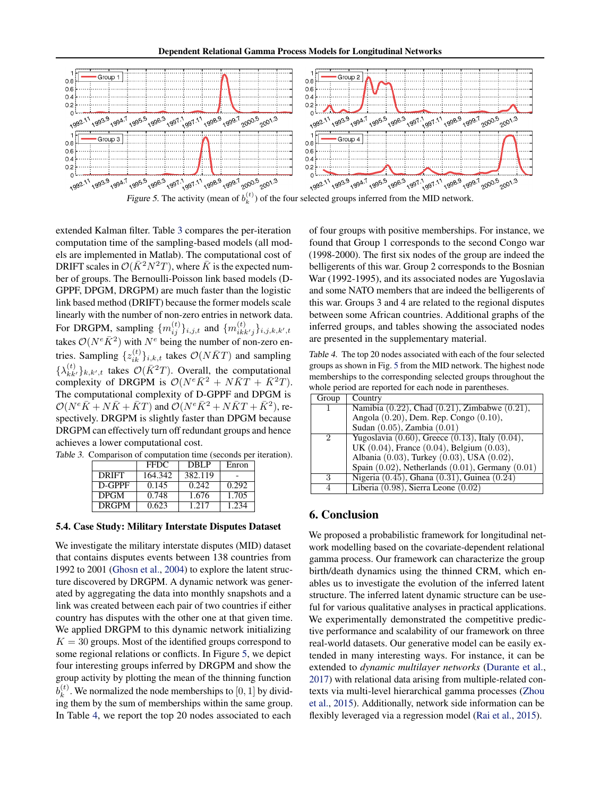Dependent Relational Gamma Process Models for Longitudinal Networks



Figure 5. The activity (mean of  $b_k^{(t)}$ ) of the four selected groups inferred from the MID network.

extended Kalman filter. Table 3 compares the per-iteration computation time of the sampling-based models (all models are implemented in Matlab). The computational cost of DRIFT scales in  $\mathcal{O}(\bar{K}^2N^2T)$ , where  $\bar{K}$  is the expected number of groups. The Bernoulli-Poisson link based models (D-GPPF, DPGM, DRGPM) are much faster than the logistic link based method (DRIFT) because the former models scale linearly with the number of non-zero entries in network data. For DRGPM, sampling  $\{m_{ij}^{(t)}\}_{i,j,t}$  and  $\{m_{ikk'j}^{(t)}\}_{i,j,k,k',t}$ takes  $\mathcal{O}(N^e\bar{K}^2)$  with  $N^e$  being the number of non-zero entries. Sampling  $\{z_{ik}^{(t)}\}_{i,k,t}$  takes  $\mathcal{O}(N\bar{K}T)$  and sampling  $\{\lambda_{kk'}^{(t)}\}_{k,k',t}$  takes  $\mathcal{O}(\bar{K}^2T)$ . Overall, the computational complexity of DRGPM is  $\mathcal{O}(N^e\overline{K}^2 + N\overline{K}T + \overline{K}^2T)$ . The computational complexity of D-GPPF and DPGM is  $\mathcal{O}(N^e\overline{K} + N\overline{K} + \overline{K}T)$  and  $\mathcal{O}(N^e\overline{K}^2 + N\overline{K}T + \overline{K}^2)$ , respectively. DRGPM is slightly faster than DPGM because DRGPM can effectively turn off redundant groups and hence achieves a lower computational cost.

Table 3. Comparison of computation time (seconds per iteration).

|              | <b>FFDC</b> | DBLP    | Enron |
|--------------|-------------|---------|-------|
| <b>DRIFT</b> | 164.342     | 382.119 |       |
| D-GPPF       | 0.145       | 0.242   | 0.292 |
| <b>DPGM</b>  | 0.748       | 1.676   | 1.705 |
| <b>DRGPM</b> | 0.623       | 1.217   | 1.234 |

#### 5.4. Case Study: Military Interstate Disputes Dataset

We investigate the military interstate disputes (MID) dataset that contains disputes events between 138 countries from 1992 to 2001 [\(Ghosn et al.,](#page-8-0) [2004\)](#page-8-0) to explore the latent structure discovered by DRGPM. A dynamic network was generated by aggregating the data into monthly snapshots and a link was created between each pair of two countries if either country has disputes with the other one at that given time. We applied DRGPM to this dynamic network initializing  $K = 30$  groups. Most of the identified groups correspond to some regional relations or conflicts. In Figure 5, we depict four interesting groups inferred by DRGPM and show the group activity by plotting the mean of the thinning function  $b_k^{(t)}$  $k<sup>(t)</sup>$ . We normalized the node memberships to  $[0, 1]$  by dividing them by the sum of memberships within the same group. In Table 4, we report the top 20 nodes associated to each

of four groups with positive memberships. For instance, we found that Group 1 corresponds to the second Congo war (1998-2000). The first six nodes of the group are indeed the belligerents of this war. Group 2 corresponds to the Bosnian War (1992-1995), and its associated nodes are Yugoslavia and some NATO members that are indeed the belligerents of this war. Groups 3 and 4 are related to the regional disputes between some African countries. Additional graphs of the inferred groups, and tables showing the associated nodes are presented in the supplementary material.

Table 4. The top 20 nodes associated with each of the four selected groups as shown in Fig. 5 from the MID network. The highest node memberships to the corresponding selected groups throughout the whole period are reported for each node in parentheses.

| Group | Country                                                  |
|-------|----------------------------------------------------------|
|       | Namibia $(0.22)$ , Chad $(0.21)$ , Zimbabwe $(0.21)$ ,   |
|       | Angola (0.20), Dem. Rep. Congo (0.10),                   |
|       | Sudan (0.05), Zambia (0.01)                              |
| 2     | Yugoslavia $(0.60)$ , Greece $(0.13)$ , Italy $(0.04)$ , |
|       | UK $(0.04)$ , France $(0.04)$ , Belgium $(0.03)$ ,       |
|       | Albania (0.03), Turkey (0.03), USA (0.02),               |
|       | Spain $(0.02)$ , Netherlands $(0.01)$ , Germany $(0.01)$ |
| 3     | Nigeria $(0.45)$ , Ghana $(0.31)$ , Guinea $(0.24)$      |
| 4     | Liberia $(0.98)$ , Sierra Leone $(0.02)$                 |

## 6. Conclusion

We proposed a probabilistic framework for longitudinal network modelling based on the covariate-dependent relational gamma process. Our framework can characterize the group birth/death dynamics using the thinned CRM, which enables us to investigate the evolution of the inferred latent structure. The inferred latent dynamic structure can be useful for various qualitative analyses in practical applications. We experimentally demonstrated the competitive predictive performance and scalability of our framework on three real-world datasets. Our generative model can be easily extended in many interesting ways. For instance, it can be extended to *dynamic multilayer networks* [\(Durante et al.,](#page-8-0) [2017\)](#page-8-0) with relational data arising from multiple-related contexts via multi-level hierarchical gamma processes [\(Zhou](#page-9-0) [et al.,](#page-9-0) [2015\)](#page-9-0). Additionally, network side information can be flexibly leveraged via a regression model [\(Rai et al.,](#page-9-0) [2015\)](#page-9-0).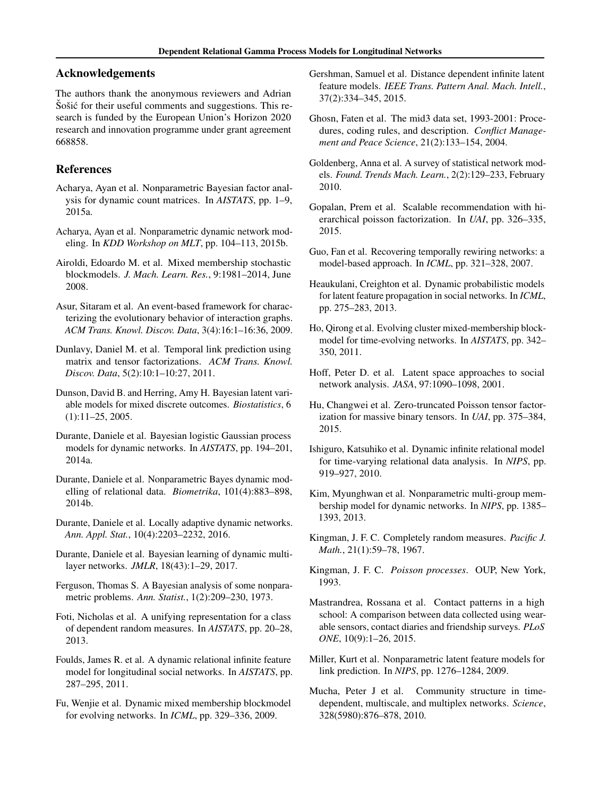## <span id="page-8-0"></span>Acknowledgements

The authors thank the anonymous reviewers and Adrian Sošić for their useful comments and suggestions. This research is funded by the European Union's Horizon 2020 research and innovation programme under grant agreement 668858.

## References

- Acharya, Ayan et al. Nonparametric Bayesian factor analysis for dynamic count matrices. In *AISTATS*, pp. 1–9, 2015a.
- Acharya, Ayan et al. Nonparametric dynamic network modeling. In *KDD Workshop on MLT*, pp. 104–113, 2015b.
- Airoldi, Edoardo M. et al. Mixed membership stochastic blockmodels. *J. Mach. Learn. Res.*, 9:1981–2014, June 2008.
- Asur, Sitaram et al. An event-based framework for characterizing the evolutionary behavior of interaction graphs. *ACM Trans. Knowl. Discov. Data*, 3(4):16:1–16:36, 2009.
- Dunlavy, Daniel M. et al. Temporal link prediction using matrix and tensor factorizations. *ACM Trans. Knowl. Discov. Data*, 5(2):10:1–10:27, 2011.
- Dunson, David B. and Herring, Amy H. Bayesian latent variable models for mixed discrete outcomes. *Biostatistics*, 6 (1):11–25, 2005.
- Durante, Daniele et al. Bayesian logistic Gaussian process models for dynamic networks. In *AISTATS*, pp. 194–201, 2014a.
- Durante, Daniele et al. Nonparametric Bayes dynamic modelling of relational data. *Biometrika*, 101(4):883–898, 2014b.
- Durante, Daniele et al. Locally adaptive dynamic networks. *Ann. Appl. Stat.*, 10(4):2203–2232, 2016.
- Durante, Daniele et al. Bayesian learning of dynamic multilayer networks. *JMLR*, 18(43):1–29, 2017.
- Ferguson, Thomas S. A Bayesian analysis of some nonparametric problems. *Ann. Statist.*, 1(2):209–230, 1973.
- Foti, Nicholas et al. A unifying representation for a class of dependent random measures. In *AISTATS*, pp. 20–28, 2013.
- Foulds, James R. et al. A dynamic relational infinite feature model for longitudinal social networks. In *AISTATS*, pp. 287–295, 2011.
- Fu, Wenjie et al. Dynamic mixed membership blockmodel for evolving networks. In *ICML*, pp. 329–336, 2009.
- Gershman, Samuel et al. Distance dependent infinite latent feature models. *IEEE Trans. Pattern Anal. Mach. Intell.*, 37(2):334–345, 2015.
- Ghosn, Faten et al. The mid3 data set, 1993-2001: Procedures, coding rules, and description. *Conflict Management and Peace Science*, 21(2):133–154, 2004.
- Goldenberg, Anna et al. A survey of statistical network models. *Found. Trends Mach. Learn.*, 2(2):129–233, February 2010.
- Gopalan, Prem et al. Scalable recommendation with hierarchical poisson factorization. In *UAI*, pp. 326–335, 2015.
- Guo, Fan et al. Recovering temporally rewiring networks: a model-based approach. In *ICML*, pp. 321–328, 2007.
- Heaukulani, Creighton et al. Dynamic probabilistic models for latent feature propagation in social networks. In *ICML*, pp. 275–283, 2013.
- Ho, Qirong et al. Evolving cluster mixed-membership blockmodel for time-evolving networks. In *AISTATS*, pp. 342– 350, 2011.
- Hoff, Peter D. et al. Latent space approaches to social network analysis. *JASA*, 97:1090–1098, 2001.
- Hu, Changwei et al. Zero-truncated Poisson tensor factorization for massive binary tensors. In *UAI*, pp. 375–384, 2015.
- Ishiguro, Katsuhiko et al. Dynamic infinite relational model for time-varying relational data analysis. In *NIPS*, pp. 919–927, 2010.
- Kim, Myunghwan et al. Nonparametric multi-group membership model for dynamic networks. In *NIPS*, pp. 1385– 1393, 2013.
- Kingman, J. F. C. Completely random measures. *Pacific J. Math.*, 21(1):59–78, 1967.
- Kingman, J. F. C. *Poisson processes*. OUP, New York, 1993.
- Mastrandrea, Rossana et al. Contact patterns in a high school: A comparison between data collected using wearable sensors, contact diaries and friendship surveys. *PLoS ONE*, 10(9):1–26, 2015.
- Miller, Kurt et al. Nonparametric latent feature models for link prediction. In *NIPS*, pp. 1276–1284, 2009.
- Mucha, Peter J et al. Community structure in timedependent, multiscale, and multiplex networks. *Science*, 328(5980):876–878, 2010.